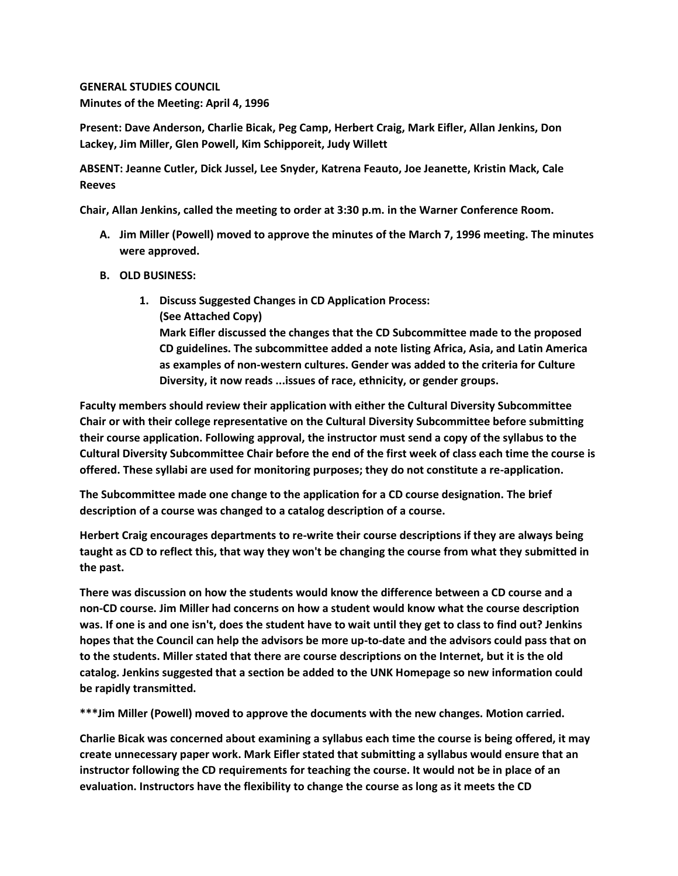## **GENERAL STUDIES COUNCIL Minutes of the Meeting: April 4, 1996**

**Present: Dave Anderson, Charlie Bicak, Peg Camp, Herbert Craig, Mark Eifler, Allan Jenkins, Don Lackey, Jim Miller, Glen Powell, Kim Schipporeit, Judy Willett**

**ABSENT: Jeanne Cutler, Dick Jussel, Lee Snyder, Katrena Feauto, Joe Jeanette, Kristin Mack, Cale Reeves**

**Chair, Allan Jenkins, called the meeting to order at 3:30 p.m. in the Warner Conference Room.**

**A. Jim Miller (Powell) moved to approve the minutes of the March 7, 1996 meeting. The minutes were approved.**

## **B. OLD BUSINESS:**

**1. Discuss Suggested Changes in CD Application Process: (See Attached Copy) Mark Eifler discussed the changes that the CD Subcommittee made to the proposed CD guidelines. The subcommittee added a note listing Africa, Asia, and Latin America as examples of non-western cultures. Gender was added to the criteria for Culture Diversity, it now reads ...issues of race, ethnicity, or gender groups.** 

**Faculty members should review their application with either the Cultural Diversity Subcommittee Chair or with their college representative on the Cultural Diversity Subcommittee before submitting their course application. Following approval, the instructor must send a copy of the syllabus to the Cultural Diversity Subcommittee Chair before the end of the first week of class each time the course is offered. These syllabi are used for monitoring purposes; they do not constitute a re-application.**

**The Subcommittee made one change to the application for a CD course designation. The brief description of a course was changed to a catalog description of a course.**

**Herbert Craig encourages departments to re-write their course descriptions if they are always being taught as CD to reflect this, that way they won't be changing the course from what they submitted in the past.**

**There was discussion on how the students would know the difference between a CD course and a non-CD course. Jim Miller had concerns on how a student would know what the course description was. If one is and one isn't, does the student have to wait until they get to class to find out? Jenkins hopes that the Council can help the advisors be more up-to-date and the advisors could pass that on to the students. Miller stated that there are course descriptions on the Internet, but it is the old catalog. Jenkins suggested that a section be added to the UNK Homepage so new information could be rapidly transmitted.**

**\*\*\*Jim Miller (Powell) moved to approve the documents with the new changes. Motion carried.**

**Charlie Bicak was concerned about examining a syllabus each time the course is being offered, it may create unnecessary paper work. Mark Eifler stated that submitting a syllabus would ensure that an instructor following the CD requirements for teaching the course. It would not be in place of an evaluation. Instructors have the flexibility to change the course as long as it meets the CD**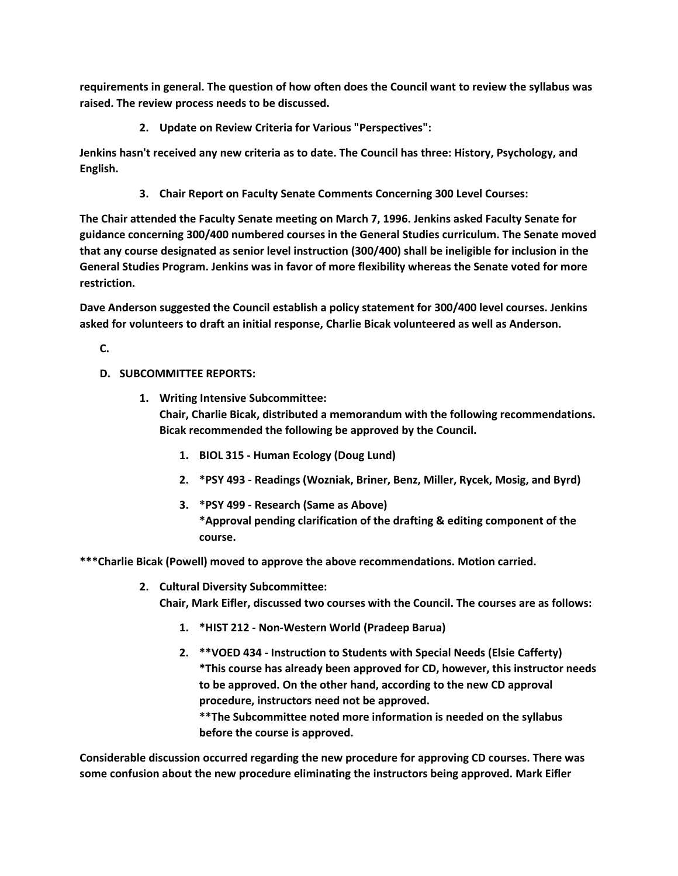**requirements in general. The question of how often does the Council want to review the syllabus was raised. The review process needs to be discussed.**

**2. Update on Review Criteria for Various "Perspectives":** 

**Jenkins hasn't received any new criteria as to date. The Council has three: History, Psychology, and English.**

**3. Chair Report on Faculty Senate Comments Concerning 300 Level Courses:** 

**The Chair attended the Faculty Senate meeting on March 7, 1996. Jenkins asked Faculty Senate for guidance concerning 300/400 numbered courses in the General Studies curriculum. The Senate moved that any course designated as senior level instruction (300/400) shall be ineligible for inclusion in the General Studies Program. Jenkins was in favor of more flexibility whereas the Senate voted for more restriction.**

**Dave Anderson suggested the Council establish a policy statement for 300/400 level courses. Jenkins asked for volunteers to draft an initial response, Charlie Bicak volunteered as well as Anderson.**

**C.**

- **D. SUBCOMMITTEE REPORTS:**
	- **1. Writing Intensive Subcommittee: Chair, Charlie Bicak, distributed a memorandum with the following recommendations. Bicak recommended the following be approved by the Council.** 
		- **1. BIOL 315 - Human Ecology (Doug Lund)**
		- **2. \*PSY 493 - Readings (Wozniak, Briner, Benz, Miller, Rycek, Mosig, and Byrd)**
		- **3. \*PSY 499 - Research (Same as Above) \*Approval pending clarification of the drafting & editing component of the course.**

**\*\*\*Charlie Bicak (Powell) moved to approve the above recommendations. Motion carried.**

- **2. Cultural Diversity Subcommittee: Chair, Mark Eifler, discussed two courses with the Council. The courses are as follows:** 
	- **1. \*HIST 212 - Non-Western World (Pradeep Barua)**
	- **2. \*\*VOED 434 - Instruction to Students with Special Needs (Elsie Cafferty) \*This course has already been approved for CD, however, this instructor needs to be approved. On the other hand, according to the new CD approval procedure, instructors need not be approved. \*\*The Subcommittee noted more information is needed on the syllabus**

**before the course is approved.**

**Considerable discussion occurred regarding the new procedure for approving CD courses. There was some confusion about the new procedure eliminating the instructors being approved. Mark Eifler**